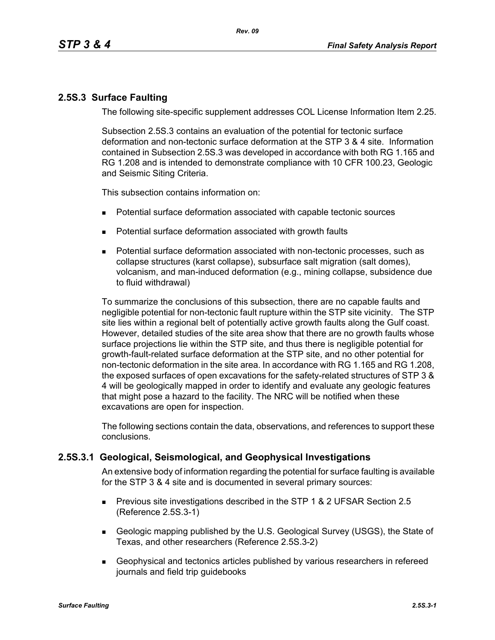# **2.5S.3 Surface Faulting**

The following site-specific supplement addresses COL License Information Item 2.25.

Subsection 2.5S.3 contains an evaluation of the potential for tectonic surface deformation and non-tectonic surface deformation at the STP 3 & 4 site. Information contained in Subsection 2.5S.3 was developed in accordance with both RG 1.165 and RG 1.208 and is intended to demonstrate compliance with 10 CFR 100.23, Geologic and Seismic Siting Criteria.

This subsection contains information on:

- Potential surface deformation associated with capable tectonic sources
- **Potential surface deformation associated with growth faults**
- Potential surface deformation associated with non-tectonic processes, such as collapse structures (karst collapse), subsurface salt migration (salt domes), volcanism, and man-induced deformation (e.g., mining collapse, subsidence due to fluid withdrawal)

To summarize the conclusions of this subsection, there are no capable faults and negligible potential for non-tectonic fault rupture within the STP site vicinity. The STP site lies within a regional belt of potentially active growth faults along the Gulf coast. However, detailed studies of the site area show that there are no growth faults whose surface projections lie within the STP site, and thus there is negligible potential for growth-fault-related surface deformation at the STP site, and no other potential for non-tectonic deformation in the site area. In accordance with RG 1.165 and RG 1.208, the exposed surfaces of open excavations for the safety-related structures of STP 3 & 4 will be geologically mapped in order to identify and evaluate any geologic features that might pose a hazard to the facility. The NRC will be notified when these excavations are open for inspection.

The following sections contain the data, observations, and references to support these conclusions.

# **2.5S.3.1 Geological, Seismological, and Geophysical Investigations**

An extensive body of information regarding the potential for surface faulting is available for the STP 3 & 4 site and is documented in several primary sources:

- **Previous site investigations described in the STP 1 & 2 UFSAR Section 2.5** (Reference 2.5S.3-1)
- Geologic mapping published by the U.S. Geological Survey (USGS), the State of Texas, and other researchers (Reference 2.5S.3-2)
- Geophysical and tectonics articles published by various researchers in refereed journals and field trip guidebooks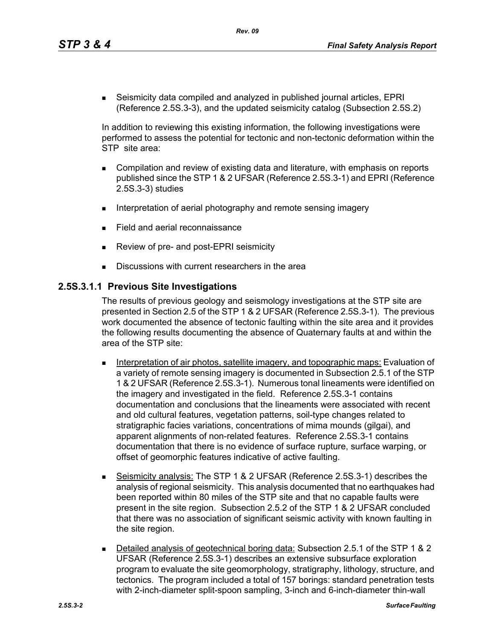*Rev. 09*

 Seismicity data compiled and analyzed in published journal articles, EPRI (Reference 2.5S.3-3), and the updated seismicity catalog (Subsection 2.5S.2)

In addition to reviewing this existing information, the following investigations were performed to assess the potential for tectonic and non-tectonic deformation within the STP site area:

- Compilation and review of existing data and literature, with emphasis on reports published since the STP 1 & 2 UFSAR (Reference 2.5S.3-1) and EPRI (Reference 2.5S.3-3) studies
- Interpretation of aerial photography and remote sensing imagery
- Field and aerial reconnaissance
- Review of pre- and post-EPRI seismicity
- Discussions with current researchers in the area

## **2.5S.3.1.1 Previous Site Investigations**

The results of previous geology and seismology investigations at the STP site are presented in Section 2.5 of the STP 1 & 2 UFSAR (Reference 2.5S.3-1). The previous work documented the absence of tectonic faulting within the site area and it provides the following results documenting the absence of Quaternary faults at and within the area of the STP site:

- **Interpretation of air photos, satellite imagery, and topographic maps: Evaluation of** a variety of remote sensing imagery is documented in Subsection 2.5.1 of the STP 1 & 2 UFSAR (Reference 2.5S.3-1). Numerous tonal lineaments were identified on the imagery and investigated in the field. Reference 2.5S.3-1 contains documentation and conclusions that the lineaments were associated with recent and old cultural features, vegetation patterns, soil-type changes related to stratigraphic facies variations, concentrations of mima mounds (gilgai), and apparent alignments of non-related features. Reference 2.5S.3-1 contains documentation that there is no evidence of surface rupture, surface warping, or offset of geomorphic features indicative of active faulting.
- Seismicity analysis: The STP 1 & 2 UFSAR (Reference 2.5S.3-1) describes the analysis of regional seismicity. This analysis documented that no earthquakes had been reported within 80 miles of the STP site and that no capable faults were present in the site region. Subsection 2.5.2 of the STP 1 & 2 UFSAR concluded that there was no association of significant seismic activity with known faulting in the site region.
- Detailed analysis of geotechnical boring data: Subsection 2.5.1 of the STP 1 & 2 UFSAR (Reference 2.5S.3-1) describes an extensive subsurface exploration program to evaluate the site geomorphology, stratigraphy, lithology, structure, and tectonics. The program included a total of 157 borings: standard penetration tests with 2-inch-diameter split-spoon sampling, 3-inch and 6-inch-diameter thin-wall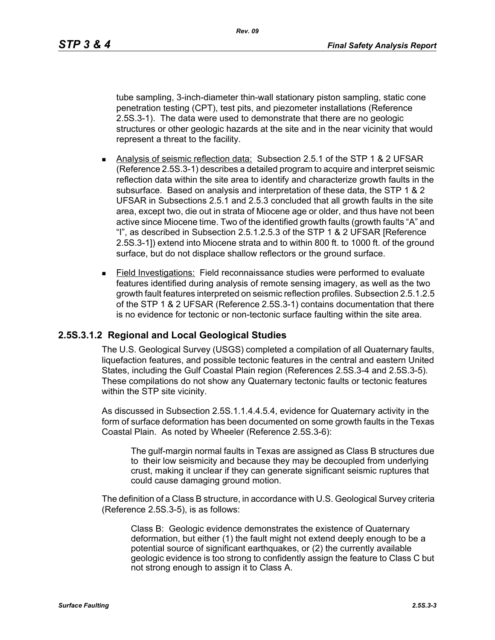*Rev. 09*

tube sampling, 3-inch-diameter thin-wall stationary piston sampling, static cone penetration testing (CPT), test pits, and piezometer installations (Reference 2.5S.3-1). The data were used to demonstrate that there are no geologic structures or other geologic hazards at the site and in the near vicinity that would represent a threat to the facility.

- Analysis of seismic reflection data: Subsection 2.5.1 of the STP 1 & 2 UFSAR (Reference 2.5S.3-1) describes a detailed program to acquire and interpret seismic reflection data within the site area to identify and characterize growth faults in the subsurface. Based on analysis and interpretation of these data, the STP 1 & 2 UFSAR in Subsections 2.5.1 and 2.5.3 concluded that all growth faults in the site area, except two, die out in strata of Miocene age or older, and thus have not been active since Miocene time. Two of the identified growth faults (growth faults "A" and "I", as described in Subsection 2.5.1.2.5.3 of the STP 1 & 2 UFSAR [Reference 2.5S.3-1]) extend into Miocene strata and to within 800 ft. to 1000 ft. of the ground surface, but do not displace shallow reflectors or the ground surface.
- Field Investigations: Field reconnaissance studies were performed to evaluate features identified during analysis of remote sensing imagery, as well as the two growth fault features interpreted on seismic reflection profiles. Subsection 2.5.1.2.5 of the STP 1 & 2 UFSAR (Reference 2.5S.3-1) contains documentation that there is no evidence for tectonic or non-tectonic surface faulting within the site area.

# **2.5S.3.1.2 Regional and Local Geological Studies**

The U.S. Geological Survey (USGS) completed a compilation of all Quaternary faults, liquefaction features, and possible tectonic features in the central and eastern United States, including the Gulf Coastal Plain region (References 2.5S.3-4 and 2.5S.3-5). These compilations do not show any Quaternary tectonic faults or tectonic features within the STP site vicinity.

As discussed in Subsection 2.5S.1.1.4.4.5.4, evidence for Quaternary activity in the form of surface deformation has been documented on some growth faults in the Texas Coastal Plain. As noted by Wheeler (Reference 2.5S.3-6):

The gulf-margin normal faults in Texas are assigned as Class B structures due to their low seismicity and because they may be decoupled from underlying crust, making it unclear if they can generate significant seismic ruptures that could cause damaging ground motion.

The definition of a Class B structure, in accordance with U.S. Geological Survey criteria (Reference 2.5S.3-5), is as follows:

Class B: Geologic evidence demonstrates the existence of Quaternary deformation, but either (1) the fault might not extend deeply enough to be a potential source of significant earthquakes, or (2) the currently available geologic evidence is too strong to confidently assign the feature to Class C but not strong enough to assign it to Class A.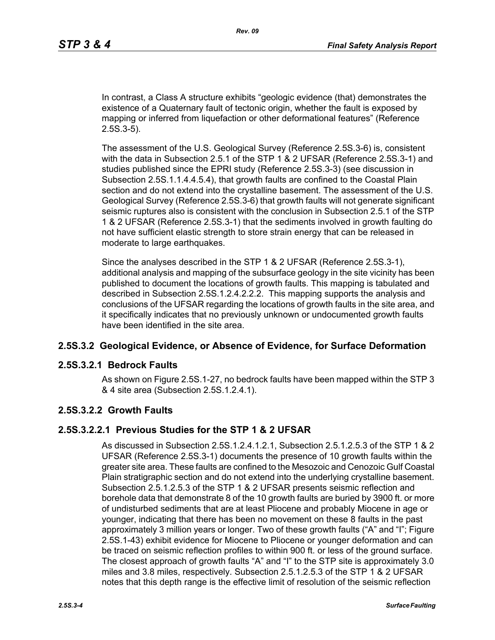In contrast, a Class A structure exhibits "geologic evidence (that) demonstrates the existence of a Quaternary fault of tectonic origin, whether the fault is exposed by mapping or inferred from liquefaction or other deformational features" (Reference 2.5S.3-5).

The assessment of the U.S. Geological Survey (Reference 2.5S.3-6) is, consistent with the data in Subsection 2.5.1 of the STP 1 & 2 UFSAR (Reference 2.5S.3-1) and studies published since the EPRI study (Reference 2.5S.3-3) (see discussion in Subsection 2.5S.1.1.4.4.5.4), that growth faults are confined to the Coastal Plain section and do not extend into the crystalline basement. The assessment of the U.S. Geological Survey (Reference 2.5S.3-6) that growth faults will not generate significant seismic ruptures also is consistent with the conclusion in Subsection 2.5.1 of the STP 1 & 2 UFSAR (Reference 2.5S.3-1) that the sediments involved in growth faulting do not have sufficient elastic strength to store strain energy that can be released in moderate to large earthquakes.

Since the analyses described in the STP 1 & 2 UFSAR (Reference 2.5S.3-1), additional analysis and mapping of the subsurface geology in the site vicinity has been published to document the locations of growth faults. This mapping is tabulated and described in Subsection 2.5S.1.2.4.2.2.2. This mapping supports the analysis and conclusions of the UFSAR regarding the locations of growth faults in the site area, and it specifically indicates that no previously unknown or undocumented growth faults have been identified in the site area.

### **2.5S.3.2 Geological Evidence, or Absence of Evidence, for Surface Deformation**

### **2.5S.3.2.1 Bedrock Faults**

As shown on Figure 2.5S.1-27, no bedrock faults have been mapped within the STP 3 & 4 site area (Subsection 2.5S.1.2.4.1).

### **2.5S.3.2.2 Growth Faults**

### **2.5S.3.2.2.1 Previous Studies for the STP 1 & 2 UFSAR**

As discussed in Subsection 2.5S.1.2.4.1.2.1, Subsection 2.5.1.2.5.3 of the STP 1 & 2 UFSAR (Reference 2.5S.3-1) documents the presence of 10 growth faults within the greater site area. These faults are confined to the Mesozoic and Cenozoic Gulf Coastal Plain stratigraphic section and do not extend into the underlying crystalline basement. Subsection 2.5.1.2.5.3 of the STP 1 & 2 UFSAR presents seismic reflection and borehole data that demonstrate 8 of the 10 growth faults are buried by 3900 ft. or more of undisturbed sediments that are at least Pliocene and probably Miocene in age or younger, indicating that there has been no movement on these 8 faults in the past approximately 3 million years or longer. Two of these growth faults ("A" and "I"; Figure 2.5S.1-43) exhibit evidence for Miocene to Pliocene or younger deformation and can be traced on seismic reflection profiles to within 900 ft. or less of the ground surface. The closest approach of growth faults "A" and "I" to the STP site is approximately 3.0 miles and 3.8 miles, respectively. Subsection 2.5.1.2.5.3 of the STP 1 & 2 UFSAR notes that this depth range is the effective limit of resolution of the seismic reflection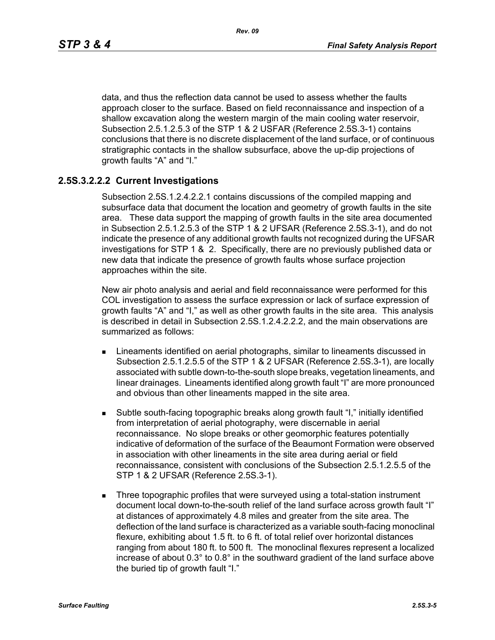data, and thus the reflection data cannot be used to assess whether the faults approach closer to the surface. Based on field reconnaissance and inspection of a shallow excavation along the western margin of the main cooling water reservoir, Subsection 2.5.1.2.5.3 of the STP 1 & 2 USFAR (Reference 2.5S.3-1) contains conclusions that there is no discrete displacement of the land surface, or of continuous stratigraphic contacts in the shallow subsurface, above the up-dip projections of growth faults "A" and "I."

# **2.5S.3.2.2.2 Current Investigations**

Subsection 2.5S.1.2.4.2.2.1 contains discussions of the compiled mapping and subsurface data that document the location and geometry of growth faults in the site area. These data support the mapping of growth faults in the site area documented in Subsection 2.5.1.2.5.3 of the STP 1 & 2 UFSAR (Reference 2.5S.3-1), and do not indicate the presence of any additional growth faults not recognized during the UFSAR investigations for STP 1 & 2. Specifically, there are no previously published data or new data that indicate the presence of growth faults whose surface projection approaches within the site.

New air photo analysis and aerial and field reconnaissance were performed for this COL investigation to assess the surface expression or lack of surface expression of growth faults "A" and "I," as well as other growth faults in the site area. This analysis is described in detail in Subsection 2.5S.1.2.4.2.2.2, and the main observations are summarized as follows:

- **EXTERGHEED EXECUTE:** Lineaments identified on aerial photographs, similar to lineaments discussed in Subsection 2.5.1.2.5.5 of the STP 1 & 2 UFSAR (Reference 2.5S.3-1), are locally associated with subtle down-to-the-south slope breaks, vegetation lineaments, and linear drainages. Lineaments identified along growth fault "I" are more pronounced and obvious than other lineaments mapped in the site area.
- Subtle south-facing topographic breaks along growth fault "I," initially identified from interpretation of aerial photography, were discernable in aerial reconnaissance. No slope breaks or other geomorphic features potentially indicative of deformation of the surface of the Beaumont Formation were observed in association with other lineaments in the site area during aerial or field reconnaissance, consistent with conclusions of the Subsection 2.5.1.2.5.5 of the STP 1 & 2 UFSAR (Reference 2.5S.3-1).
- **Three topographic profiles that were surveyed using a total-station instrument** document local down-to-the-south relief of the land surface across growth fault "I" at distances of approximately 4.8 miles and greater from the site area. The deflection of the land surface is characterized as a variable south-facing monoclinal flexure, exhibiting about 1.5 ft. to 6 ft. of total relief over horizontal distances ranging from about 180 ft. to 500 ft. The monoclinal flexures represent a localized increase of about 0.3° to 0.8° in the southward gradient of the land surface above the buried tip of growth fault "I."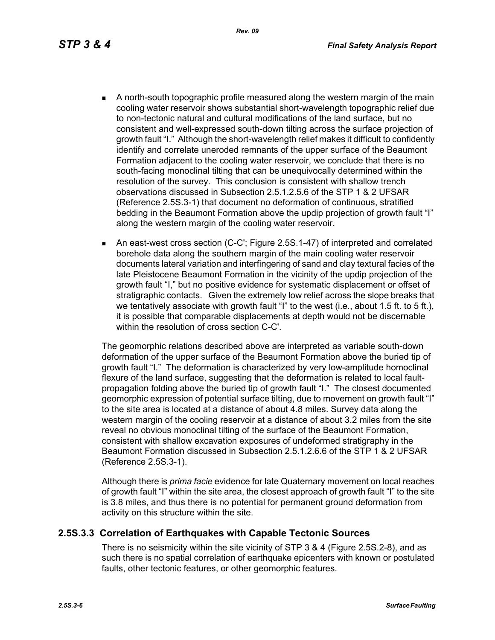- - A north-south topographic profile measured along the western margin of the main cooling water reservoir shows substantial short-wavelength topographic relief due to non-tectonic natural and cultural modifications of the land surface, but no consistent and well-expressed south-down tilting across the surface projection of growth fault "I." Although the short-wavelength relief makes it difficult to confidently identify and correlate uneroded remnants of the upper surface of the Beaumont Formation adjacent to the cooling water reservoir, we conclude that there is no south-facing monoclinal tilting that can be unequivocally determined within the resolution of the survey. This conclusion is consistent with shallow trench observations discussed in Subsection 2.5.1.2.5.6 of the STP 1 & 2 UFSAR (Reference 2.5S.3-1) that document no deformation of continuous, stratified bedding in the Beaumont Formation above the updip projection of growth fault "I" along the western margin of the cooling water reservoir.
	- An east-west cross section (C-C'; Figure 2.5S.1-47) of interpreted and correlated borehole data along the southern margin of the main cooling water reservoir documents lateral variation and interfingering of sand and clay textural facies of the late Pleistocene Beaumont Formation in the vicinity of the updip projection of the growth fault "I," but no positive evidence for systematic displacement or offset of stratigraphic contacts. Given the extremely low relief across the slope breaks that we tentatively associate with growth fault "I" to the west (i.e., about 1.5 ft. to 5 ft.), it is possible that comparable displacements at depth would not be discernable within the resolution of cross section C-C'.

The geomorphic relations described above are interpreted as variable south-down deformation of the upper surface of the Beaumont Formation above the buried tip of growth fault "I." The deformation is characterized by very low-amplitude homoclinal flexure of the land surface, suggesting that the deformation is related to local faultpropagation folding above the buried tip of growth fault "I." The closest documented geomorphic expression of potential surface tilting, due to movement on growth fault "I" to the site area is located at a distance of about 4.8 miles. Survey data along the western margin of the cooling reservoir at a distance of about 3.2 miles from the site reveal no obvious monoclinal tilting of the surface of the Beaumont Formation, consistent with shallow excavation exposures of undeformed stratigraphy in the Beaumont Formation discussed in Subsection 2.5.1.2.6.6 of the STP 1 & 2 UFSAR (Reference 2.5S.3-1).

Although there is *prima facie* evidence for late Quaternary movement on local reaches of growth fault "I" within the site area, the closest approach of growth fault "I" to the site is 3.8 miles, and thus there is no potential for permanent ground deformation from activity on this structure within the site.

### **2.5S.3.3 Correlation of Earthquakes with Capable Tectonic Sources**

There is no seismicity within the site vicinity of STP 3 & 4 (Figure 2.5S.2-8), and as such there is no spatial correlation of earthquake epicenters with known or postulated faults, other tectonic features, or other geomorphic features.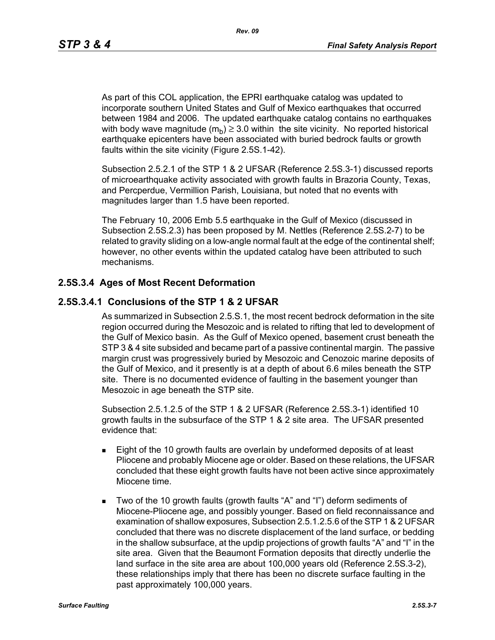As part of this COL application, the EPRI earthquake catalog was updated to incorporate southern United States and Gulf of Mexico earthquakes that occurred between 1984 and 2006. The updated earthquake catalog contains no earthquakes with body wave magnitude  $(m_h) \geq 3.0$  within the site vicinity. No reported historical earthquake epicenters have been associated with buried bedrock faults or growth faults within the site vicinity (Figure 2.5S.1-42).

Subsection 2.5.2.1 of the STP 1 & 2 UFSAR (Reference 2.5S.3-1) discussed reports of microearthquake activity associated with growth faults in Brazoria County, Texas, and Percperdue, Vermillion Parish, Louisiana, but noted that no events with magnitudes larger than 1.5 have been reported.

The February 10, 2006 Emb 5.5 earthquake in the Gulf of Mexico (discussed in Subsection 2.5S.2.3) has been proposed by M. Nettles (Reference 2.5S.2-7) to be related to gravity sliding on a low-angle normal fault at the edge of the continental shelf; however, no other events within the updated catalog have been attributed to such mechanisms.

# **2.5S.3.4 Ages of Most Recent Deformation**

## **2.5S.3.4.1 Conclusions of the STP 1 & 2 UFSAR**

As summarized in Subsection 2.5.S.1, the most recent bedrock deformation in the site region occurred during the Mesozoic and is related to rifting that led to development of the Gulf of Mexico basin. As the Gulf of Mexico opened, basement crust beneath the STP 3 & 4 site subsided and became part of a passive continental margin. The passive margin crust was progressively buried by Mesozoic and Cenozoic marine deposits of the Gulf of Mexico, and it presently is at a depth of about 6.6 miles beneath the STP site. There is no documented evidence of faulting in the basement younger than Mesozoic in age beneath the STP site.

Subsection 2.5.1.2.5 of the STP 1 & 2 UFSAR (Reference 2.5S.3-1) identified 10 growth faults in the subsurface of the STP 1 & 2 site area. The UFSAR presented evidence that:

- **Eight of the 10 growth faults are overlain by undeformed deposits of at least** Pliocene and probably Miocene age or older. Based on these relations, the UFSAR concluded that these eight growth faults have not been active since approximately Miocene time.
- Two of the 10 growth faults (growth faults "A" and "I") deform sediments of Miocene-Pliocene age, and possibly younger. Based on field reconnaissance and examination of shallow exposures, Subsection 2.5.1.2.5.6 of the STP 1 & 2 UFSAR concluded that there was no discrete displacement of the land surface, or bedding in the shallow subsurface, at the updip projections of growth faults "A" and "I" in the site area. Given that the Beaumont Formation deposits that directly underlie the land surface in the site area are about 100,000 years old (Reference 2.5S.3-2), these relationships imply that there has been no discrete surface faulting in the past approximately 100,000 years.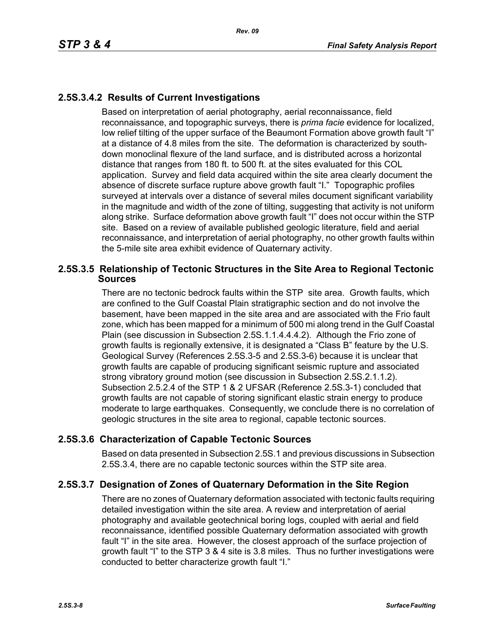# **2.5S.3.4.2 Results of Current Investigations**

Based on interpretation of aerial photography, aerial reconnaissance, field reconnaissance, and topographic surveys, there is *prima facie* evidence for localized, low relief tilting of the upper surface of the Beaumont Formation above growth fault "I" at a distance of 4.8 miles from the site. The deformation is characterized by southdown monoclinal flexure of the land surface, and is distributed across a horizontal distance that ranges from 180 ft. to 500 ft. at the sites evaluated for this COL application. Survey and field data acquired within the site area clearly document the absence of discrete surface rupture above growth fault "I." Topographic profiles surveyed at intervals over a distance of several miles document significant variability in the magnitude and width of the zone of tilting, suggesting that activity is not uniform along strike. Surface deformation above growth fault "I" does not occur within the STP site. Based on a review of available published geologic literature, field and aerial reconnaissance, and interpretation of aerial photography, no other growth faults within the 5-mile site area exhibit evidence of Quaternary activity.

## **2.5S.3.5 Relationship of Tectonic Structures in the Site Area to Regional Tectonic Sources**

There are no tectonic bedrock faults within the STP site area. Growth faults, which are confined to the Gulf Coastal Plain stratigraphic section and do not involve the basement, have been mapped in the site area and are associated with the Frio fault zone, which has been mapped for a minimum of 500 mi along trend in the Gulf Coastal Plain (see discussion in Subsection 2.5S.1.1.4.4.4.2). Although the Frio zone of growth faults is regionally extensive, it is designated a "Class B" feature by the U.S. Geological Survey (References 2.5S.3-5 and 2.5S.3-6) because it is unclear that growth faults are capable of producing significant seismic rupture and associated strong vibratory ground motion (see discussion in Subsection 2.5S.2.1.1.2). Subsection 2.5.2.4 of the STP 1 & 2 UFSAR (Reference 2.5S.3-1) concluded that growth faults are not capable of storing significant elastic strain energy to produce moderate to large earthquakes. Consequently, we conclude there is no correlation of geologic structures in the site area to regional, capable tectonic sources.

# **2.5S.3.6 Characterization of Capable Tectonic Sources**

Based on data presented in Subsection 2.5S.1 and previous discussions in Subsection 2.5S.3.4, there are no capable tectonic sources within the STP site area.

# **2.5S.3.7 Designation of Zones of Quaternary Deformation in the Site Region**

There are no zones of Quaternary deformation associated with tectonic faults requiring detailed investigation within the site area. A review and interpretation of aerial photography and available geotechnical boring logs, coupled with aerial and field reconnaissance, identified possible Quaternary deformation associated with growth fault "I" in the site area. However, the closest approach of the surface projection of growth fault "I" to the STP 3 & 4 site is 3.8 miles. Thus no further investigations were conducted to better characterize growth fault "I."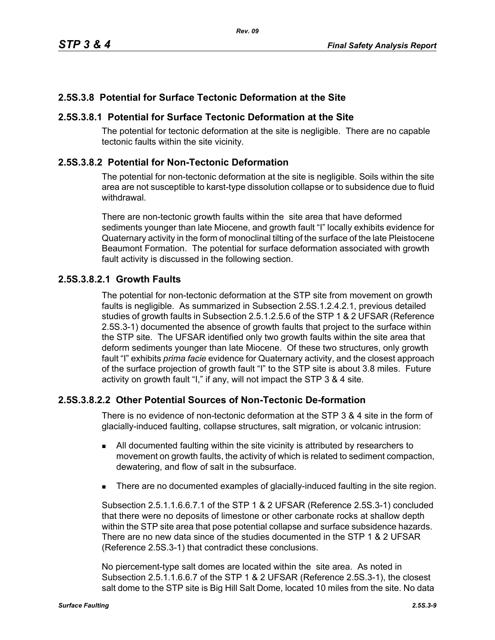# **2.5S.3.8 Potential for Surface Tectonic Deformation at the Site**

## **2.5S.3.8.1 Potential for Surface Tectonic Deformation at the Site**

The potential for tectonic deformation at the site is negligible. There are no capable tectonic faults within the site vicinity.

## **2.5S.3.8.2 Potential for Non-Tectonic Deformation**

The potential for non-tectonic deformation at the site is negligible. Soils within the site area are not susceptible to karst-type dissolution collapse or to subsidence due to fluid withdrawal.

There are non-tectonic growth faults within the site area that have deformed sediments younger than late Miocene, and growth fault "I" locally exhibits evidence for Quaternary activity in the form of monoclinal tilting of the surface of the late Pleistocene Beaumont Formation. The potential for surface deformation associated with growth fault activity is discussed in the following section.

## **2.5S.3.8.2.1 Growth Faults**

The potential for non-tectonic deformation at the STP site from movement on growth faults is negligible. As summarized in Subsection 2.5S.1.2.4.2.1, previous detailed studies of growth faults in Subsection 2.5.1.2.5.6 of the STP 1 & 2 UFSAR (Reference 2.5S.3-1) documented the absence of growth faults that project to the surface within the STP site. The UFSAR identified only two growth faults within the site area that deform sediments younger than late Miocene. Of these two structures, only growth fault "I" exhibits *prima facie* evidence for Quaternary activity, and the closest approach of the surface projection of growth fault "I" to the STP site is about 3.8 miles. Future activity on growth fault "I," if any, will not impact the STP 3 & 4 site.

# **2.5S.3.8.2.2 Other Potential Sources of Non-Tectonic De-formation**

There is no evidence of non-tectonic deformation at the STP 3 & 4 site in the form of glacially-induced faulting, collapse structures, salt migration, or volcanic intrusion:

- All documented faulting within the site vicinity is attributed by researchers to movement on growth faults, the activity of which is related to sediment compaction, dewatering, and flow of salt in the subsurface.
- There are no documented examples of glacially-induced faulting in the site region.

Subsection 2.5.1.1.6.6.7.1 of the STP 1 & 2 UFSAR (Reference 2.5S.3-1) concluded that there were no deposits of limestone or other carbonate rocks at shallow depth within the STP site area that pose potential collapse and surface subsidence hazards. There are no new data since of the studies documented in the STP 1 & 2 UFSAR (Reference 2.5S.3-1) that contradict these conclusions.

No piercement-type salt domes are located within the site area. As noted in Subsection 2.5.1.1.6.6.7 of the STP 1 & 2 UFSAR (Reference 2.5S.3-1), the closest salt dome to the STP site is Big Hill Salt Dome, located 10 miles from the site. No data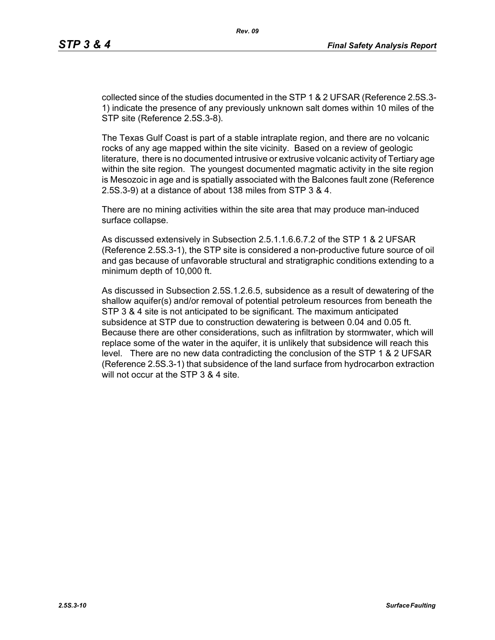collected since of the studies documented in the STP 1 & 2 UFSAR (Reference 2.5S.3- 1) indicate the presence of any previously unknown salt domes within 10 miles of the STP site (Reference 2.5S.3-8).

The Texas Gulf Coast is part of a stable intraplate region, and there are no volcanic rocks of any age mapped within the site vicinity. Based on a review of geologic literature, there is no documented intrusive or extrusive volcanic activity of Tertiary age within the site region. The youngest documented magmatic activity in the site region is Mesozoic in age and is spatially associated with the Balcones fault zone (Reference 2.5S.3-9) at a distance of about 138 miles from STP 3 & 4.

There are no mining activities within the site area that may produce man-induced surface collapse.

As discussed extensively in Subsection 2.5.1.1.6.6.7.2 of the STP 1 & 2 UFSAR (Reference 2.5S.3-1), the STP site is considered a non-productive future source of oil and gas because of unfavorable structural and stratigraphic conditions extending to a minimum depth of 10,000 ft.

As discussed in Subsection 2.5S.1.2.6.5, subsidence as a result of dewatering of the shallow aquifer(s) and/or removal of potential petroleum resources from beneath the STP 3 & 4 site is not anticipated to be significant. The maximum anticipated subsidence at STP due to construction dewatering is between 0.04 and 0.05 ft. Because there are other considerations, such as infiltration by stormwater, which will replace some of the water in the aquifer, it is unlikely that subsidence will reach this level. There are no new data contradicting the conclusion of the STP 1 & 2 UFSAR (Reference 2.5S.3-1) that subsidence of the land surface from hydrocarbon extraction will not occur at the STP 3 & 4 site.